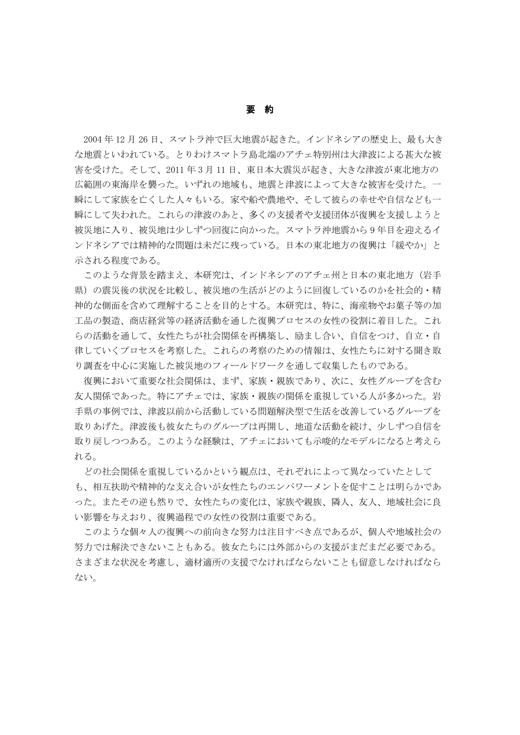## 要 約

 2004 年 12 月 26 日、スマトラ沖で巨大地震が起きた。インドネシアの歴史上、最も大き な地震といわれている。とりわけスマトラ島北端のアチェ特別州は大津波による甚大な被 害を受けた。そして、2011 年 3 月 11 日、東日本大震災が起き、大きな津波が東北地方の 広範囲の東海岸を襲った。いずれの地域も、地震と津波によって大きな被害を受けた。一 瞬にして家族を亡くした人々もいる。家や船や農地や、そして彼らの幸せや自信なども一 瞬にして失われた。これらの津波のあと、多くの支援者や支援団体が復興を支援しようと 被災地に入り、被災地は少しずつ回復に向かった。スマトラ沖地震から 9 年目を迎えるイ ンドネシアでは精神的な問題は未だに残っている。日本の東北地方の復興は「緩やか」と 示される程度である。

このような背景を踏まえ、本研究は、インドネシアのアチェ州と日本の東北地方(岩手 県)の震災後の状況を比較し、被災地の生活がどのように回復しているのかを社会的・精 神的な側面を含めて理解することを目的とする。本研究は、特に、海産物やお菓子等の加 工品の製造、商店経営等の経済活動を通した復興プロセスの女性の役割に着目した。これ らの活動を通して、女性たちが社会関係を再構築し、励まし合い、自信をつけ、自立・自 律していくプロセスを考察した。これらの考察のための情報は、女性たちに対する聞き取 り調査を中心に実施した被災地のフィールドワークを通して収集したものである。

復興において重要な社会関係は、まず、家族・親族であり、次に、女性グループを含む 友人関係であった。特にアチェでは、家族・親族の関係を重視している人が多かった。岩 手県の事例では、津波以前から活動している問題解決型で生活を改善しているグループを 取りあげた。津波後も彼女たちのグループは再開し、地道な活動を続け、少しずつ自信を 取り戻しつつある。このような経験は、アチェにおいても示唆的なモデルになると考えら れる。

どの社会関係を重視しているかという観点は、それぞれによって異なっていたとして も、相互扶助や精神的な支え合いが女性たちのエンパワーメントを促すことは明らかであ った。またその逆も然りで、女性たちの変化は、家族や親族、隣人、友人、地域社会に良 い影響を与えおり、復興過程での女性の役割は重要である。

このような個々人の復興への前向きな努力は注目すべき点であるが、個人や地域社会の 努力では解決できないこともある。彼女たちには外部からの支援がまだまだ必要である。 さまざまな状況を考慮し、適材適所の支援でなければならないことも留意しなければなら ない。